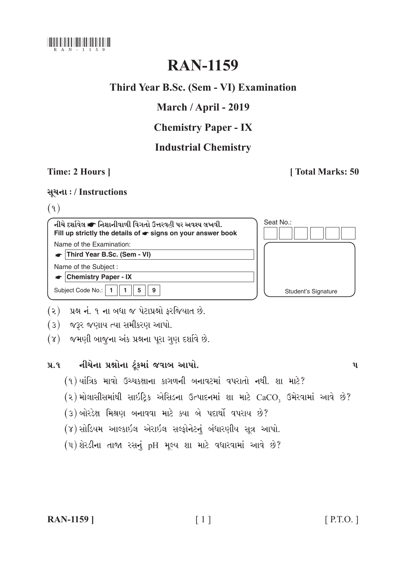

# **RAN-1159**

# Third Year B.Sc. (Sem - VI) Examination

# March / April - 2019

# **Chemistry Paper - IX**

# **Industrial Chemistry**

### Time: 2 Hours 1

### **Total Marks: 50**

### સૂચના: / Instructions

### $(9)$



- (૨) પ્રશ્ન નં. ૧ ના બધા જ પેટાપ્રશ્નો ફરજિયાત છે.
- (3) જરૂર જણાય ત્યા સમીકરણ આપો.
- (૪) જમણી બાજુના અંક પ્રશ્નના પૂરા ગણ દર્શાવે છે.

#### નીચેના પ્રશ્નોના ટૂંકમાં જવાબ આપો.  $9.9$

- (१) यांत्रिક માવો ઉચ્ચકક્ષાના કાગળની બનાવટમાં વપરાતો નથી. શા માટે?
- (૨) મોલાસીસમાંથી સાઇટ્રિક એસિડના ઉત્પાદનમાં શા માટે CaCO, ઉમેરવામાં આવે છે?
- (૩) બોરડેક્ષ મિશ્રણ બનાવવા માટે ક્યા બે પદાર્થો વપરાય છે?
- (૪) સોડિયમ આલ્કાઇલ એરાઇલ સલ્ફોનેટનું બંધારણીય સૂત્ર આપો.
- (૫) શેરડીના તાજા રસનું pH મુલ્ય શા માટે વધારવામાં આવે છે?

 $\mathbf{u}$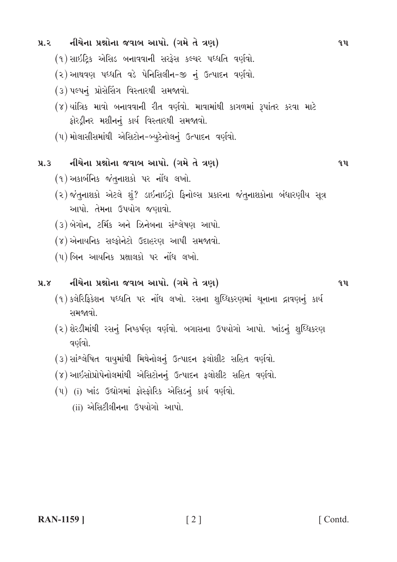(૧) સાઇટ્રિક એસિડ બનાવવાની સરફેસ કલ્ચર પધ્ધતિ વર્ણવો.

 $9.2$ 

(२) આથવણ પધ્ધતિ વડે પેનિસિલીન-જી નું ઉત્પાદન વર્ણવો.

નીચેના પ્રશ્નોના જવાબ આપો. (ગમે તે ત્રણ)

- (૩) પલ્પનું પ્રોસેસિંગ વિસ્તારથી સમજાવો.
- (४) यांत्रिક માવો બનાવવાની રીત વર્ણવો. માવામાંથી કાગળમાં રૂપાંતર કરવા માટે ફોરડ્રીનર મશીનનું કાર્ય વિસ્તારથી સમજાવો.
- (૫) મોલાસીસમાંથી એસિટોન-બ્યૂટેનોલનું ઉત્પાદન વર્ણવો.

#### નીચેના પ્રશ્નોના જવાબ આપો. (ગમે તે ત્રણ)  $9.3$

- $(9)$  અકાર્બનિક જંતુનાશકો પર નોંધ લખો.
- (૨) જંતુનાશકો એટલે શું? ડાઇનાઇટ્રો ફિનોલ્સ પ્રકારના જંતુનાશકોના બંધારણીય સૂત્ર આપો. તેમના ઉપયોગ જણાવો.
- (૩) બેગોન, ટર્મિક અને ઝિનેબના સંશ્લેષણ આપો.
- (४) એનાયનિક સલ્ફોનેટો ઉદાહરણ આપી સમજાવો.
- $(4)$  બિન આયનિક પ્રક્ષાલકો પર નોંધ લખો.

#### નીચેના પ્રશ્નોના જવાબ આપો. (ગમે તે ત્રણ)  $9.8$

- (૧)કલેરિફિકેશન પધ્ધતિ પર નોંધ લખો. રસના શુધ્ધિકરણમાં ચુનાના દ્રાવણનું કાર્ય સમજાવો.
- (૨) શેરડીમાંથી રસનું નિષ્કર્ષણ વર્ણવો. બગાસના ઉપયોગો આપો. ખાંડનું શુધ્ધિકરણ વર્ણવો.
- (3) સાંશ્લેષિત વાયમાંથી મિથેનોલનું ઉત્પાદન ફલોશીટ સહિત વર્ણવો.
- (૪) આઇસોપ્રોપેનોલમાંથી એસિટોનનું ઉત્પાદન ફલોશીટ સહિત વર્ણવો.
- (૫) (i) ખાંડ ઉદ્યોગમાં કોસ્કોરિક એસિડનું કાર્ય વર્ણવો.
	- (ii) એસિટીલીનના ઉપયોગો આપો.

 $9.11$ 

 $\mathbf{q}$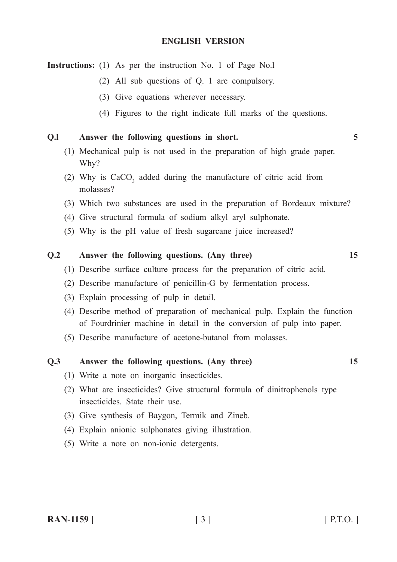### **ENGLISH VERSION**

**Instructions:** (1) As per the instruction No. 1 of Page No.l

- (2) All sub questions of Q. 1 are compulsory.
- (3) Give equations wherever necessary.
- (4) Figures to the right indicate full marks of the questions.

### **Q.l Answer the following questions in short. 5**

- (1) Mechanical pulp is not used in the preparation of high grade paper. Why?
- (2) Why is  $CaCO<sub>3</sub>$  added during the manufacture of citric acid from molasses?
- (3) Which two substances are used in the preparation of Bordeaux mixture?
- (4) Give structural formula of sodium alkyl aryl sulphonate.
- (5) Why is the pH value of fresh sugarcane juice increased?

### **Q.2 Answer the following questions. (Any three) 15**

- (1) Describe surface culture process for the preparation of citric acid.
- (2) Describe manufacture of penicillin-G by fermentation process.
- (3) Explain processing of pulp in detail.
- (4) Describe method of preparation of mechanical pulp. Explain the function of Fourdrinier machine in detail in the conversion of pulp into paper.
- (5) Describe manufacture of acetone-butanol from molasses.

### **Q.3 Answer the following questions. (Any three) 15**

- (1) Write a note on inorganic insecticides.
- (2) What are insecticides? Give structural formula of dinitrophenols type insecticides. State their use.
- (3) Give synthesis of Baygon, Termik and Zineb.
- (4) Explain anionic sulphonates giving illustration.
- (5) Write a note on non-ionic detergents.